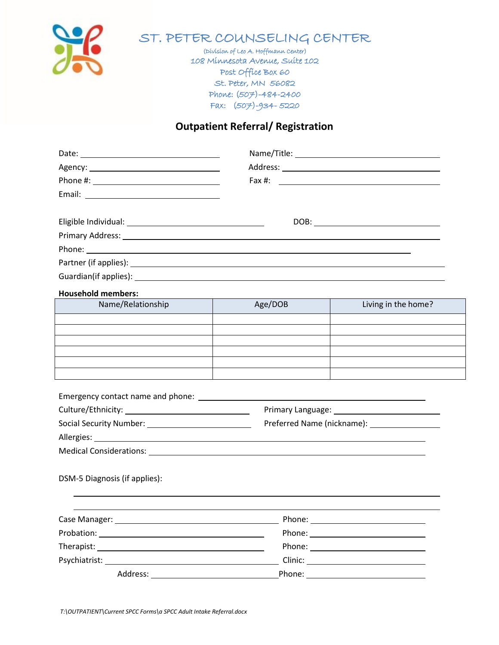

## ST. PETER COUNSELING CENTER

(Division of Leo A. Hoffmann Center) 108 Minnesota Avenue, Suite 102 Post Office Box 60 St. Peter, MN 56082 Phone: (507)-484-2400 Fax: (507)-934- 5220

## **Outpatient Referral/ Registration**

| <b>Household members:</b> |  |
|---------------------------|--|
|                           |  |

| Name/Relationship | Age/DOB | Living in the home? |
|-------------------|---------|---------------------|
|                   |         |                     |
|                   |         |                     |
|                   |         |                     |
|                   |         |                     |
|                   |         |                     |
|                   |         |                     |

|                               | Primary Language: 1997<br>Preferred Name (nickname): __________________ |  |
|-------------------------------|-------------------------------------------------------------------------|--|
|                               |                                                                         |  |
|                               |                                                                         |  |
|                               |                                                                         |  |
| DSM-5 Diagnosis (if applies): |                                                                         |  |
|                               |                                                                         |  |
|                               |                                                                         |  |
|                               |                                                                         |  |

Psychiatrist: Clinic:

Address: Phone: